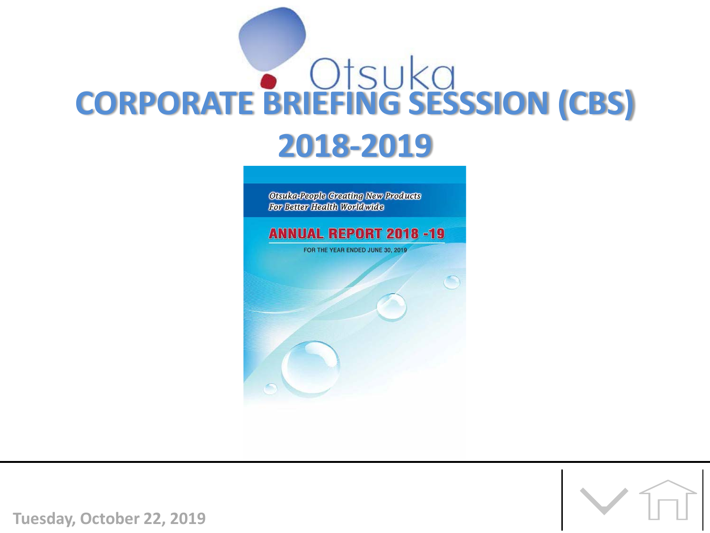

**Otsuka-People Creating New Products** For Better Health Worldwide

**ANNUAL REPORT 2018 -19** FOR THE YEAR ENDED JUNE 30, 2019

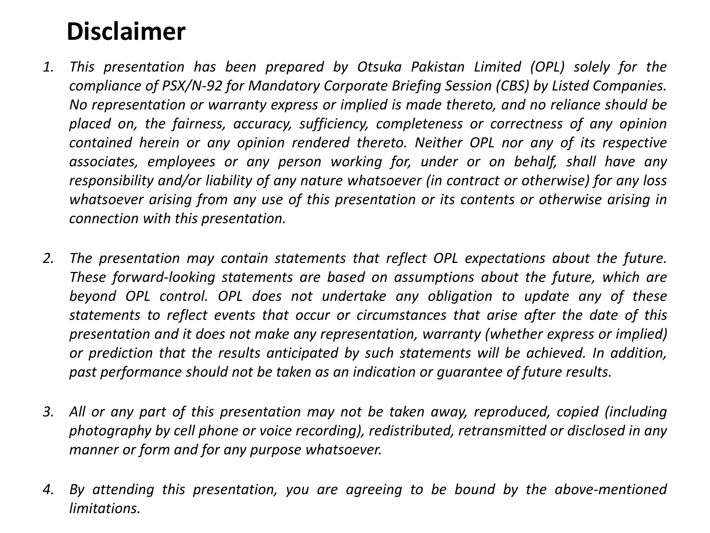# **Disclaimer**

- *1. This presentation has been prepared by Otsuka Pakistan Limited (OPL) solely for the compliance of PSX/N-92 for Mandatory Corporate Briefing Session (CBS) by Listed Companies. No representation or warranty express or implied is made thereto, and no reliance should be placed on, the fairness, accuracy, sufficiency, completeness or correctness of any opinion contained herein or any opinion rendered thereto. Neither OPL nor any of its respective associates, employees or any person working for, under or on behalf, shall have any responsibility and/or liability of any nature whatsoever (in contract or otherwise) for any loss whatsoever arising from any use of this presentation or its contents or otherwise arising in connection with this presentation.*
- *2. The presentation may contain statements that reflect OPL expectations about the future. These forward-looking statements are based on assumptions about the future, which are beyond OPL control. OPL does not undertake any obligation to update any of these statements to reflect events that occur or circumstances that arise after the date of this presentation and it does not make any representation, warranty (whether express or implied) or prediction that the results anticipated by such statements will be achieved. In addition, past performance should not be taken as an indication or guarantee of future results.*
- *3. All or any part of this presentation may not be taken away, reproduced, copied (including photography by cell phone or voice recording), redistributed, retransmitted or disclosed in any manner or form and for any purpose whatsoever.*
- *4. By attending this presentation, you are agreeing to be bound by the above-mentioned limitations.*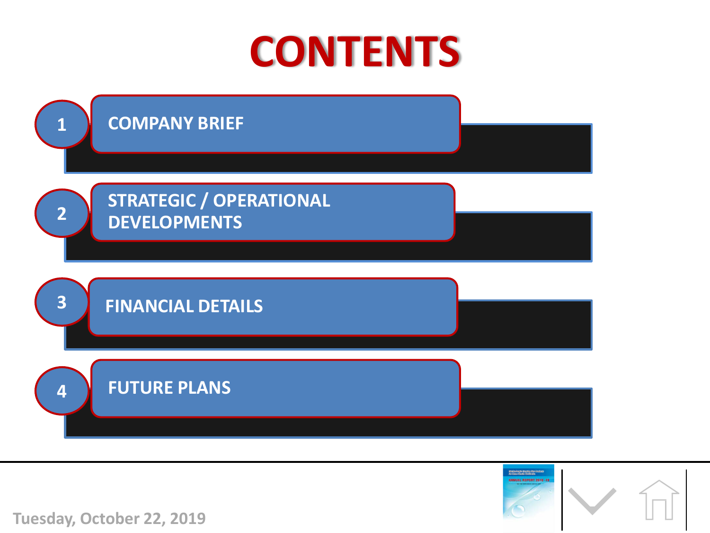





**Tuesday, October 22, 2019**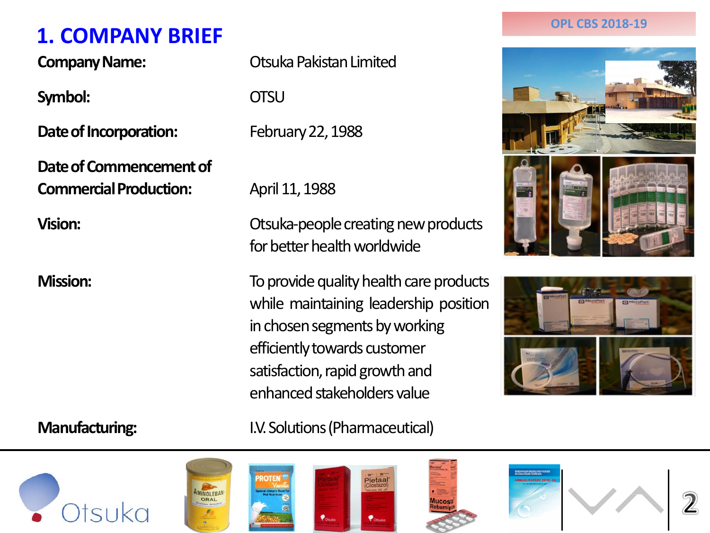# **1. COMPANY BRIEF 1. COMPANY BRIEF**

**Symbol:** OTSU

**Date of Incorporation:** February 22, 1988

**Date of Commencement of Commercial Production:** April 11, 1988

**Company Name:** Otsuka Pakistan Limited

**Vision:** Consultation Consultation Consultation Consultation Consultation Consultation Consultation Consultation Consultation Consultation Consultation Consultation Consultation Consultation Consultation Consultation Cons for better health worldwide

**Mission:** To provide quality health care products while maintaining leadership position in chosen segments by working efficiently towards customer satisfaction, rapid growth and enhanced stakeholders value

**Manufacturing: I.V. Solutions (Pharmaceutical)** 







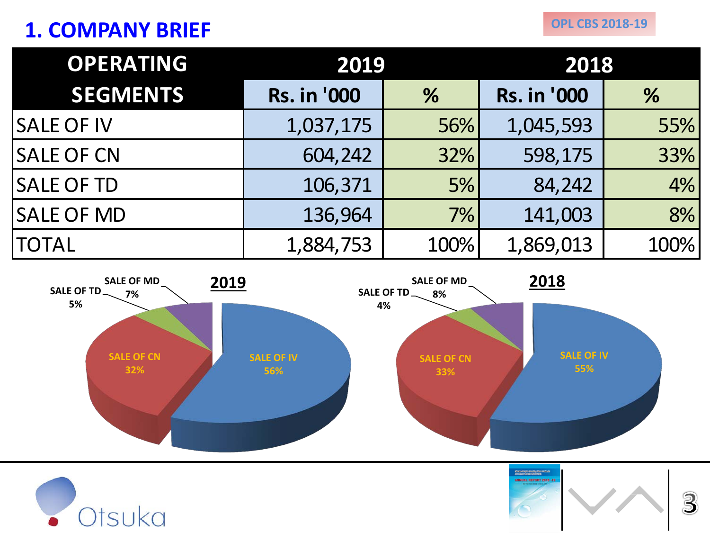# **1. COMPANY BRIEF**

| <b>OPERATING</b>  | 2019               |      | 2018               |      |  |
|-------------------|--------------------|------|--------------------|------|--|
| <b>SEGMENTS</b>   | <b>Rs. in '000</b> | $\%$ | <b>Rs. in '000</b> | %    |  |
| <b>SALE OF IV</b> | 1,037,175          | 56%  | 1,045,593          | 55%  |  |
| <b>SALE OF CN</b> | 604,242            | 32%  | 598,175            | 33%  |  |
| <b>SALE OF TD</b> | 106,371            | 5%   | 84,242             | 4%   |  |
| <b>SALE OF MD</b> | 136,964            | 7%   | 141,003            | 8%   |  |
| <b>TOTAL</b>      | 1,884,753          | 100% | 1,869,013          | 100% |  |





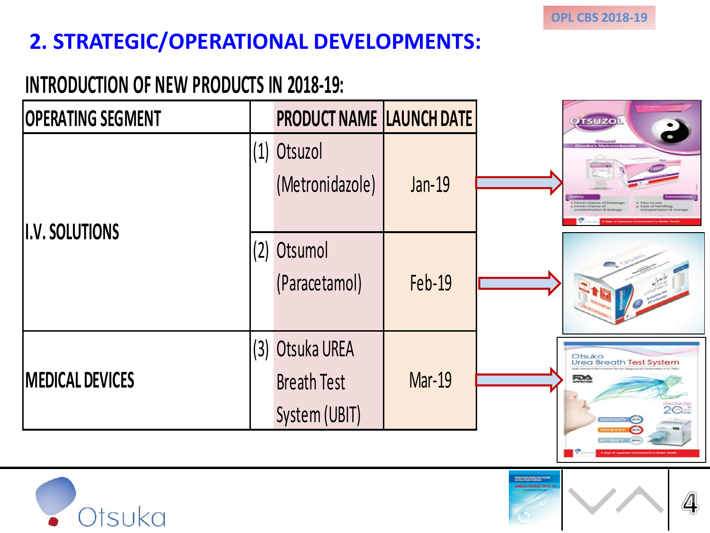.<br>San Cheffreith (Branitag Cher Cracke)<br>San Cheffe (Branitag Cheffreit)

4

# **2. STRATEGIC/OPERATIONAL DEVELOPMENTS:**

## **INTRODUCTION OF NEW PRODUCTS IN 2018-19:**

| <b>OPERATING SEGMENT</b> |     | <b>PRODUCT NAME LAUNCH DATE</b>                    |               | <b>OTSUZOI</b>                                                              |
|--------------------------|-----|----------------------------------------------------|---------------|-----------------------------------------------------------------------------|
| <b>II.V. SOLUTIONS</b>   | (1) | Otsuzol<br>(Metronidazole)                         | <b>Jan-19</b> | Otsuzol<br>Figures chance of b<br>Finwer chance of<br><b>Ease of handle</b> |
|                          | (2) | Otsumol<br>(Paracetamol)                           | <b>Feb-19</b> |                                                                             |
| <b>MEDICAL DEVICES</b>   | (3) | Otsuka UREA<br><b>Breath Test</b><br>System (UBIT) | <b>Mar-19</b> | Otsuka<br>Urea Breath Test System<br>FRA<br>$2^{\circ}$<br>SENSITIVITY CE   |

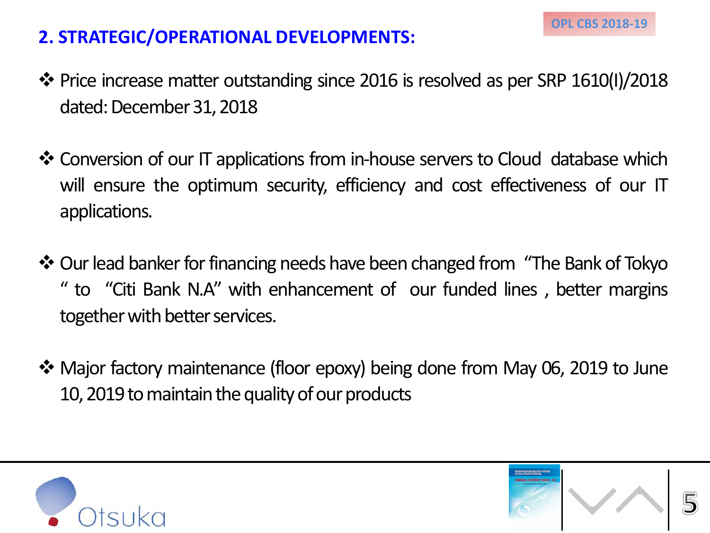### **2. STRATEGIC/OPERATIONAL DEVELOPMENTS:**

- Price increase matter outstanding since 2016 is resolved as per SRP 1610(I)/2018 dated: December 31, 2018
- ❖ Conversion of our IT applications from in-house servers to Cloud database which will ensure the optimum security, efficiency and cost effectiveness of our IT applications.
- \* Our lead banker for financing needs have been changed from "The Bank of Tokyo " to "Citi Bank N.A" with enhancement of our funded lines , better margins together with better services.
- Major factory maintenance (floor epoxy) being done from May 06, 2019 to June 10, 2019 to maintain the quality of our products



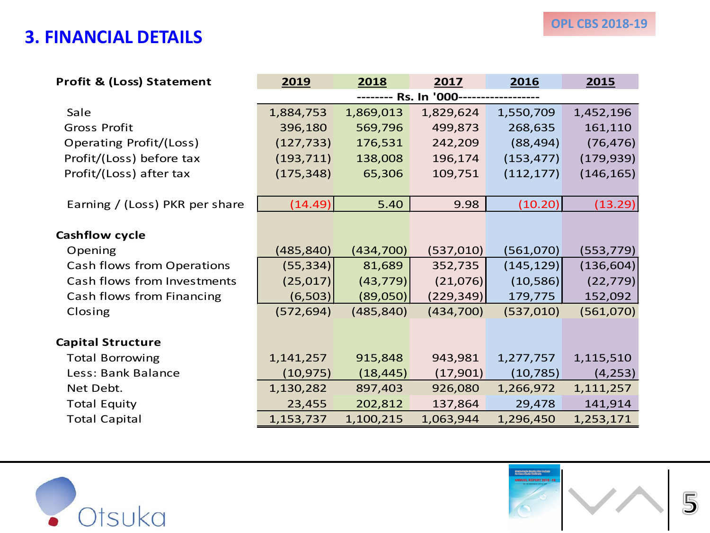#### **3. FINANCIAL DETAILS**

| <b>Profit &amp; (Loss) Statement</b> | 2019                            | 2018       | 2017       | 2016       | 2015       |  |  |
|--------------------------------------|---------------------------------|------------|------------|------------|------------|--|--|
|                                      | -------- Rs. In '000----------- |            |            |            |            |  |  |
| Sale                                 | 1,884,753                       | 1,869,013  | 1,829,624  | 1,550,709  | 1,452,196  |  |  |
| <b>Gross Profit</b>                  | 396,180                         | 569,796    | 499,873    | 268,635    | 161,110    |  |  |
| Operating Profit/(Loss)              | (127, 733)                      | 176,531    | 242,209    | (88, 494)  | (76, 476)  |  |  |
| Profit/(Loss) before tax             | (193, 711)                      | 138,008    | 196,174    | (153, 477) | (179, 939) |  |  |
| Profit/(Loss) after tax              | (175, 348)                      | 65,306     | 109,751    | (112, 177) | (146, 165) |  |  |
|                                      |                                 |            |            |            |            |  |  |
| Earning / (Loss) PKR per share       | (14.49)                         | 5.40       | 9.98       | (10.20)    | (13.29)    |  |  |
|                                      |                                 |            |            |            |            |  |  |
| Cashflow cycle                       |                                 |            |            |            |            |  |  |
| Opening                              | (485, 840)                      | (434, 700) | (537, 010) | (561,070)  | (553, 779) |  |  |
| Cash flows from Operations           | (55, 334)                       | 81,689     | 352,735    | (145, 129) | (136, 604) |  |  |
| Cash flows from Investments          | (25, 017)                       | (43, 779)  | (21,076)   | (10, 586)  | (22, 779)  |  |  |
| Cash flows from Financing            | (6, 503)                        | (89,050)   | (229, 349) | 179,775    | 152,092    |  |  |
| Closing                              | (572, 694)                      | (485, 840) | (434,700)  | (537,010)  | (561,070)  |  |  |
|                                      |                                 |            |            |            |            |  |  |
| <b>Capital Structure</b>             |                                 |            |            |            |            |  |  |
| <b>Total Borrowing</b>               | 1,141,257                       | 915,848    | 943,981    | 1,277,757  | 1,115,510  |  |  |
| Less: Bank Balance                   | (10, 975)                       | (18, 445)  | (17,901)   | (10, 785)  | (4, 253)   |  |  |
| Net Debt.                            | 1,130,282                       | 897,403    | 926,080    | 1,266,972  | 1,111,257  |  |  |
| <b>Total Equity</b>                  | 23,455                          | 202,812    | 137,864    | 29,478     | 141,914    |  |  |
| <b>Total Capital</b>                 | 1,153,737                       | 1,100,215  | 1,063,944  | 1,296,450  | 1,253,171  |  |  |



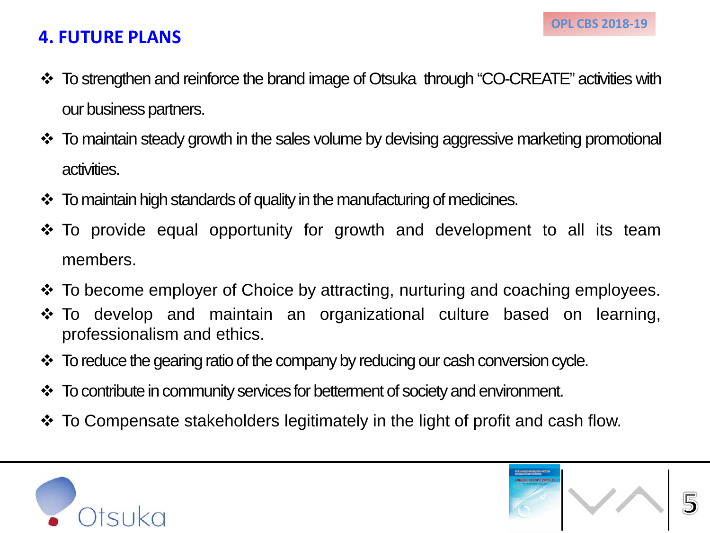#### **4. FUTURE PLANS**

- To strengthen and reinforce the brand image of Otsuka through "CO-CREATE" activities with our business partners.
- To maintain steady growth in the sales volume by devising aggressive marketing promotional activities.
- To maintain high standards of quality in the manufacturing of medicines.
- To provide equal opportunity for growth and development to all its team members.
- To become employer of Choice by attracting, nurturing and coaching employees.
- To develop and maintain an organizational culture based on learning, professionalism and ethics.
- $\cdot$  To reduce the gearing ratio of the company by reducing our cash conversion cycle.
- To contribute in community services for betterment of society and environment.
- To Compensate stakeholders legitimately in the light of profit and cash flow.